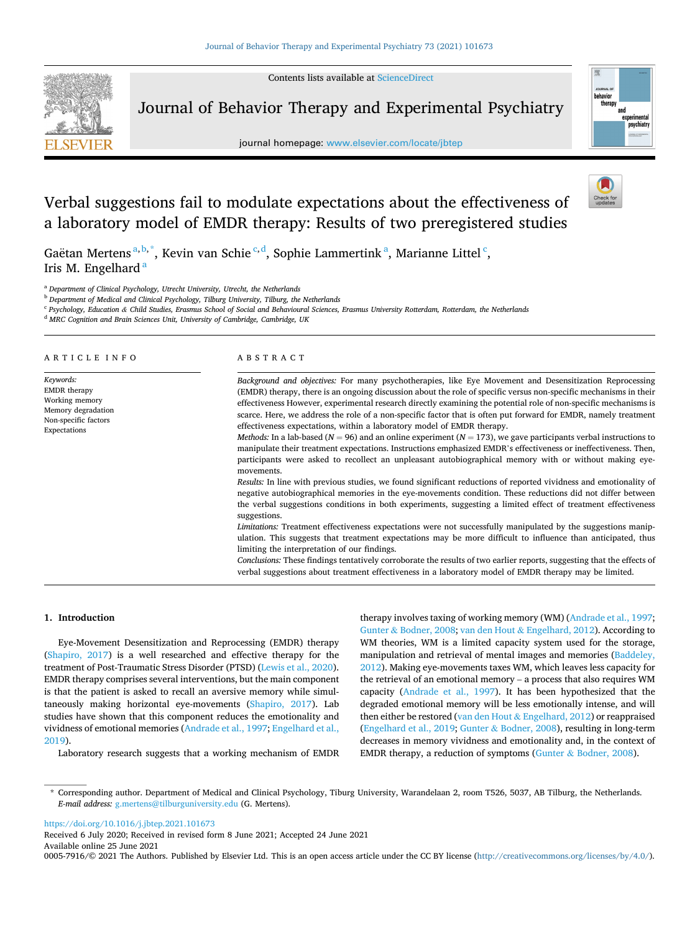Contents lists available at [ScienceDirect](www.sciencedirect.com/science/journal/00057916)



ARTICLE INFO

*Keywords:* 

Journal of Behavior Therapy and Experimental Psychiatry

journal homepage: [www.elsevier.com/locate/jbtep](https://www.elsevier.com/locate/jbtep) 



# Verbal suggestions fail to modulate expectations about the effectiveness of a laboratory model of EMDR therapy: Results of two preregistered studies

Gaëtan Mertens<sup>a, b,\*</sup>, Kevin van Schie<sup>c,d</sup>, Sophie Lammertink<sup>a</sup>, Marianne Littel<sup>c</sup>, Iris M. Engelhard<sup>a</sup>

ABSTRACT

<sup>a</sup> *Department of Clinical Psychology, Utrecht University, Utrecht, the Netherlands* 

<sup>b</sup> *Department of Medical and Clinical Psychology, Tilburg University, Tilburg, the Netherlands* 

<sup>c</sup> *Psychology, Education & Child Studies, Erasmus School of Social and Behavioural Sciences, Erasmus University Rotterdam, Rotterdam, the Netherlands* 

<sup>d</sup> *MRC Cognition and Brain Sciences Unit, University of Cambridge, Cambridge, UK* 

#### EMDR therapy Working memory Memory degradation Non-specific factors Expectations *Background and objectives:* For many psychotherapies, like Eye Movement and Desensitization Reprocessing (EMDR) therapy, there is an ongoing discussion about the role of specific versus non-specific mechanisms in their effectiveness However, experimental research directly examining the potential role of non-specific mechanisms is scarce. Here, we address the role of a non-specific factor that is often put forward for EMDR, namely treatment effectiveness expectations, within a laboratory model of EMDR therapy. *Methods:* In a lab-based (*N* = 96) and an online experiment (*N* = 173), we gave participants verbal instructions to manipulate their treatment expectations. Instructions emphasized EMDR's effectiveness or ineffectiveness. Then, participants were asked to recollect an unpleasant autobiographical memory with or without making eyemovements. *Results:* In line with previous studies, we found significant reductions of reported vividness and emotionality of negative autobiographical memories in the eye-movements condition. These reductions did not differ between the verbal suggestions conditions in both experiments, suggesting a limited effect of treatment effectiveness suggestions. *Limitations:* Treatment effectiveness expectations were not successfully manipulated by the suggestions manipulation. This suggests that treatment expectations may be more difficult to influence than anticipated, thus limiting the interpretation of our findings. *Conclusions:* These findings tentatively corroborate the results of two earlier reports, suggesting that the effects of verbal suggestions about treatment effectiveness in a laboratory model of EMDR therapy may be limited.

#### **1. Introduction**

Eye-Movement Desensitization and Reprocessing (EMDR) therapy ([Shapiro, 2017](#page-6-0)) is a well researched and effective therapy for the treatment of Post-Traumatic Stress Disorder (PTSD) [\(Lewis et al., 2020](#page-6-0)). EMDR therapy comprises several interventions, but the main component is that the patient is asked to recall an aversive memory while simultaneously making horizontal eye-movements ([Shapiro, 2017](#page-6-0)). Lab studies have shown that this component reduces the emotionality and vividness of emotional memories [\(Andrade et al., 1997; Engelhard et al.,](#page-6-0)  [2019\)](#page-6-0).

Laboratory research suggests that a working mechanism of EMDR

therapy involves taxing of working memory (WM) ([Andrade et al., 1997](#page-6-0); Gunter & [Bodner, 2008;](#page-6-0) van den Hout & [Engelhard, 2012](#page-6-0)). According to WM theories, WM is a limited capacity system used for the storage, manipulation and retrieval of mental images and memories [\(Baddeley,](#page-6-0)  [2012\)](#page-6-0). Making eye-movements taxes WM, which leaves less capacity for the retrieval of an emotional memory – a process that also requires WM capacity [\(Andrade et al., 1997](#page-6-0)). It has been hypothesized that the degraded emotional memory will be less emotionally intense, and will then either be restored (van den Hout & [Engelhard, 2012\)](#page-6-0) or reappraised ([Engelhard et al., 2019](#page-6-0); Gunter & [Bodner, 2008\)](#page-6-0), resulting in long-term decreases in memory vividness and emotionality and, in the context of EMDR therapy, a reduction of symptoms (Gunter & [Bodner, 2008](#page-6-0)).

<https://doi.org/10.1016/j.jbtep.2021.101673>

Available online 25 June 2021 Received 6 July 2020; Received in revised form 8 June 2021; Accepted 24 June 2021

0005-7916/© 2021 The Authors. Published by Elsevier Ltd. This is an open access article under the CC BY license [\(http://creativecommons.org/licenses/by/4.0/\)](http://creativecommons.org/licenses/by/4.0/).

<sup>\*</sup> Corresponding author. Department of Medical and Clinical Psychology, Tiburg University, Warandelaan 2, room T526, 5037, AB Tilburg, the Netherlands. *E-mail address:* [g.mertens@tilburguniversity.edu](mailto:g.mertens@tilburguniversity.edu) (G. Mertens).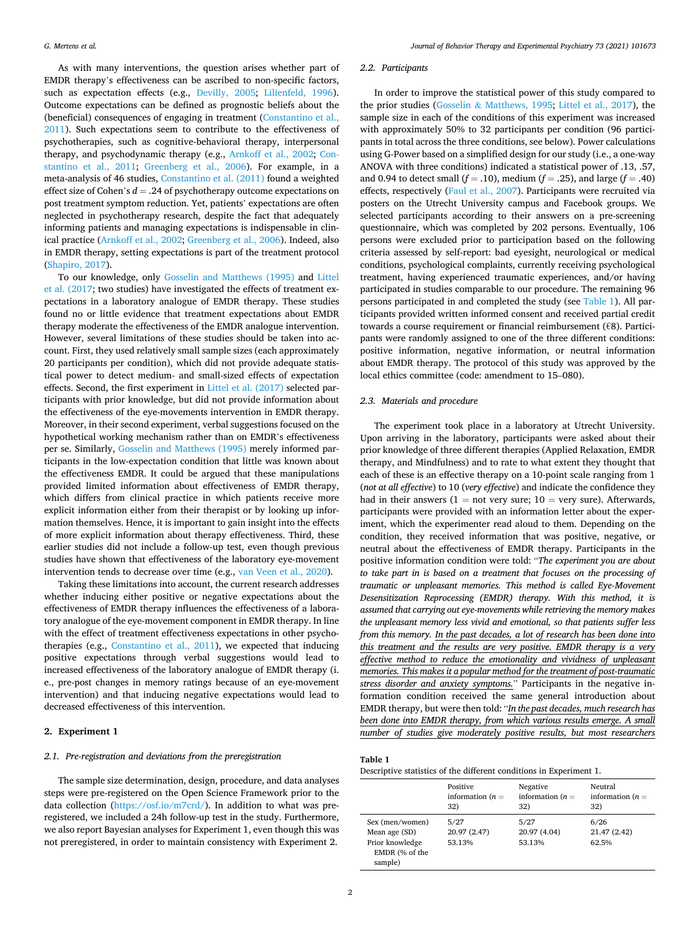As with many interventions, the question arises whether part of EMDR therapy's effectiveness can be ascribed to non-specific factors, such as expectation effects (e.g., [Devilly, 2005;](#page-6-0) [Lilienfeld, 1996](#page-6-0)). Outcome expectations can be defined as prognostic beliefs about the (beneficial) consequences of engaging in treatment ([Constantino et al.,](#page-6-0)  [2011\)](#page-6-0). Such expectations seem to contribute to the effectiveness of psychotherapies, such as cognitive-behavioral therapy, interpersonal therapy, and psychodynamic therapy (e.g., [Arnkoff et al., 2002;](#page-6-0) [Con](#page-6-0)[stantino et al., 2011;](#page-6-0) [Greenberg et al., 2006\)](#page-6-0). For example, in a meta-analysis of 46 studies, [Constantino et al. \(2011\)](#page-6-0) found a weighted effect size of Cohen's *d* = .24 of psychotherapy outcome expectations on post treatment symptom reduction. Yet, patients' expectations are often neglected in psychotherapy research, despite the fact that adequately informing patients and managing expectations is indispensable in clinical practice ([Arnkoff et al., 2002](#page-6-0); [Greenberg et al., 2006\)](#page-6-0). Indeed, also in EMDR therapy, setting expectations is part of the treatment protocol ([Shapiro, 2017](#page-6-0)).

To our knowledge, only [Gosselin and Matthews \(1995\)](#page-6-0) and [Littel](#page-6-0)  [et al. \(2017;](#page-6-0) two studies) have investigated the effects of treatment expectations in a laboratory analogue of EMDR therapy. These studies found no or little evidence that treatment expectations about EMDR therapy moderate the effectiveness of the EMDR analogue intervention. However, several limitations of these studies should be taken into account. First, they used relatively small sample sizes (each approximately 20 participants per condition), which did not provide adequate statistical power to detect medium- and small-sized effects of expectation effects. Second, the first experiment in [Littel et al. \(2017\)](#page-6-0) selected participants with prior knowledge, but did not provide information about the effectiveness of the eye-movements intervention in EMDR therapy. Moreover, in their second experiment, verbal suggestions focused on the hypothetical working mechanism rather than on EMDR's effectiveness per se. Similarly, [Gosselin and Matthews \(1995\)](#page-6-0) merely informed participants in the low-expectation condition that little was known about the effectiveness EMDR. It could be argued that these manipulations provided limited information about effectiveness of EMDR therapy, which differs from clinical practice in which patients receive more explicit information either from their therapist or by looking up information themselves. Hence, it is important to gain insight into the effects of more explicit information about therapy effectiveness. Third, these earlier studies did not include a follow-up test, even though previous studies have shown that effectiveness of the laboratory eye-movement intervention tends to decrease over time (e.g., [van Veen et al., 2020](#page-6-0)).

Taking these limitations into account, the current research addresses whether inducing either positive or negative expectations about the effectiveness of EMDR therapy influences the effectiveness of a laboratory analogue of the eye-movement component in EMDR therapy. In line with the effect of treatment effectiveness expectations in other psychotherapies (e.g., [Constantino et al., 2011](#page-6-0)), we expected that inducing positive expectations through verbal suggestions would lead to increased effectiveness of the laboratory analogue of EMDR therapy (i. e., pre-post changes in memory ratings because of an eye-movement intervention) and that inducing negative expectations would lead to decreased effectiveness of this intervention.

# **2. Experiment 1**

#### *2.1. Pre-registration and deviations from the preregistration*

The sample size determination, design, procedure, and data analyses steps were pre-registered on the Open Science Framework prior to the data collection [\(https://osf.io/m7crd/](https://osf.io/m7crd/)). In addition to what was preregistered, we included a 24h follow-up test in the study. Furthermore, we also report Bayesian analyses for Experiment 1, even though this was not preregistered, in order to maintain consistency with Experiment 2.

#### *2.2. Participants*

In order to improve the statistical power of this study compared to the prior studies (Gosselin & [Matthews, 1995](#page-6-0); [Littel et al., 2017](#page-6-0)), the sample size in each of the conditions of this experiment was increased with approximately 50% to 32 participants per condition (96 participants in total across the three conditions, see below). Power calculations using G-Power based on a simplified design for our study (i.e., a one-way ANOVA with three conditions) indicated a statistical power of .13, .57, and 0.94 to detect small ( $f = .10$ ), medium ( $f = .25$ ), and large ( $f = .40$ ) effects, respectively ([Faul et al., 2007](#page-6-0)). Participants were recruited via posters on the Utrecht University campus and Facebook groups. We selected participants according to their answers on a pre-screening questionnaire, which was completed by 202 persons. Eventually, 106 persons were excluded prior to participation based on the following criteria assessed by self-report: bad eyesight, neurological or medical conditions, psychological complaints, currently receiving psychological treatment, having experienced traumatic experiences, and/or having participated in studies comparable to our procedure. The remaining 96 persons participated in and completed the study (see Table 1). All participants provided written informed consent and received partial credit towards a course requirement or financial reimbursement (€8). Participants were randomly assigned to one of the three different conditions: positive information, negative information, or neutral information about EMDR therapy. The protocol of this study was approved by the local ethics committee (code: amendment to 15–080).

## *2.3. Materials and procedure*

The experiment took place in a laboratory at Utrecht University. Upon arriving in the laboratory, participants were asked about their prior knowledge of three different therapies (Applied Relaxation, EMDR therapy, and Mindfulness) and to rate to what extent they thought that each of these is an effective therapy on a 10-point scale ranging from 1 (*not at all effective*) to 10 (*very effective*) and indicate the confidence they had in their answers  $(1 = not very sure; 10 = very sure)$ . Afterwards, participants were provided with an information letter about the experiment, which the experimenter read aloud to them. Depending on the condition, they received information that was positive, negative, or neutral about the effectiveness of EMDR therapy. Participants in the positive information condition were told: "*The experiment you are about to take part in is based on a treatment that focuses on the processing of traumatic or unpleasant memories. This method is called Eye-Movement Desensitization Reprocessing (EMDR) therapy. With this method, it is assumed that carrying out eye-movements while retrieving the memory makes the unpleasant memory less vivid and emotional, so that patients suffer less from this memory. In the past decades, a lot of research has been done into this treatment and the results are very positive. EMDR therapy is a very effective method to reduce the emotionality and vividness of unpleasant memories. This makes it a popular method for the treatment of post-traumatic stress disorder and anxiety symptoms.*" Participants in the negative information condition received the same general introduction about EMDR therapy, but were then told: "*In the past decades, much research has been done into EMDR therapy, from which various results emerge. A small number of studies give moderately positive results, but most researchers* 

#### **Table 1**

Descriptive statistics of the different conditions in Experiment 1.

|                                                                                  | Positive<br>information $(n =$<br>32) | Negative<br>information $(n =$<br>32) | Neutral<br>information $(n =$<br>32) |
|----------------------------------------------------------------------------------|---------------------------------------|---------------------------------------|--------------------------------------|
| Sex (men/women)<br>Mean age (SD)<br>Prior knowledge<br>EMDR (% of the<br>sample) | 5/27<br>20.97 (2.47)<br>53.13%        | 5/27<br>20.97 (4.04)<br>53.13%        | 6/26<br>21.47 (2.42)<br>62.5%        |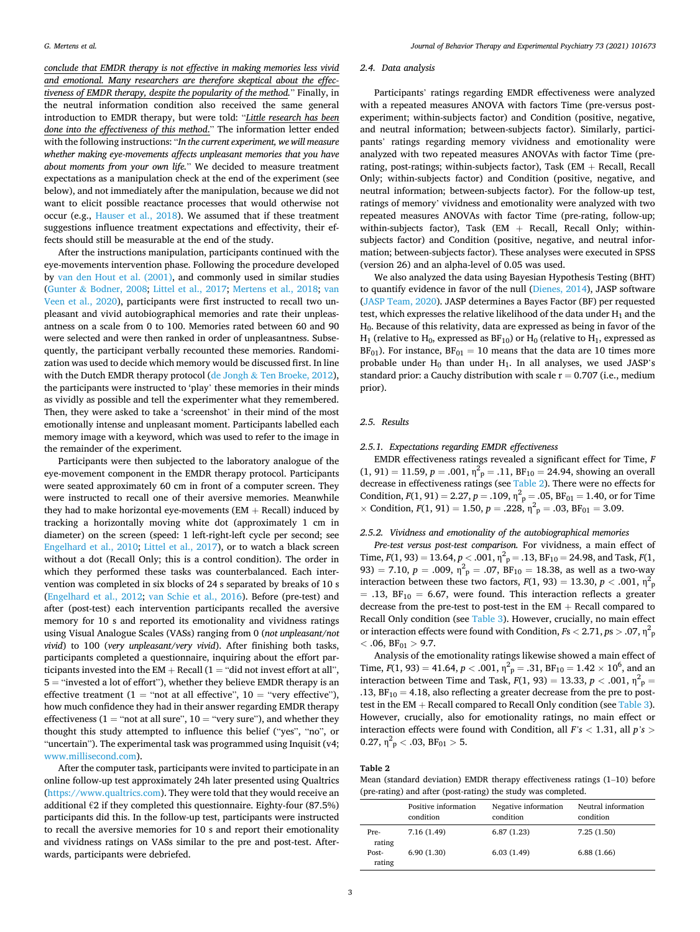*conclude that EMDR therapy is not effective in making memories less vivid and emotional. Many researchers are therefore skeptical about the effectiveness of EMDR therapy, despite the popularity of the method.*" Finally, in the neutral information condition also received the same general introduction to EMDR therapy, but were told: "*Little research has been done into the effectiveness of this method*." The information letter ended with the following instructions: "*In the current experiment, we will measure whether making eye-movements affects unpleasant memories that you have about moments from your own life.*" We decided to measure treatment expectations as a manipulation check at the end of the experiment (see below), and not immediately after the manipulation, because we did not want to elicit possible reactance processes that would otherwise not occur (e.g., [Hauser et al., 2018](#page-6-0)). We assumed that if these treatment suggestions influence treatment expectations and effectivity, their effects should still be measurable at the end of the study.

After the instructions manipulation, participants continued with the eye-movements intervention phase. Following the procedure developed by [van den Hout et al. \(2001\),](#page-6-0) and commonly used in similar studies (Gunter & [Bodner, 2008](#page-6-0); [Littel et al., 2017](#page-6-0); [Mertens et al., 2018;](#page-6-0) [van](#page-6-0)  [Veen et al., 2020\)](#page-6-0), participants were first instructed to recall two unpleasant and vivid autobiographical memories and rate their unpleasantness on a scale from 0 to 100. Memories rated between 60 and 90 were selected and were then ranked in order of unpleasantness. Subsequently, the participant verbally recounted these memories. Randomization was used to decide which memory would be discussed first. In line with the Dutch EMDR therapy protocol (de Jongh & [Ten Broeke, 2012](#page-6-0)), the participants were instructed to 'play' these memories in their minds as vividly as possible and tell the experimenter what they remembered. Then, they were asked to take a 'screenshot' in their mind of the most emotionally intense and unpleasant moment. Participants labelled each memory image with a keyword, which was used to refer to the image in the remainder of the experiment.

Participants were then subjected to the laboratory analogue of the eye-movement component in the EMDR therapy protocol. Participants were seated approximately 60 cm in front of a computer screen. They were instructed to recall one of their aversive memories. Meanwhile they had to make horizontal eye-movements ( $EM + Recall$ ) induced by tracking a horizontally moving white dot (approximately 1 cm in diameter) on the screen (speed: 1 left-right-left cycle per second; see [Engelhard et al., 2010;](#page-6-0) [Littel et al., 2017](#page-6-0)), or to watch a black screen without a dot (Recall Only; this is a control condition). The order in which they performed these tasks was counterbalanced. Each intervention was completed in six blocks of 24 s separated by breaks of 10 s ([Engelhard et al., 2012](#page-6-0); [van Schie et al., 2016\)](#page-6-0). Before (pre-test) and after (post-test) each intervention participants recalled the aversive memory for 10 s and reported its emotionality and vividness ratings using Visual Analogue Scales (VASs) ranging from 0 (*not unpleasant/not vivid*) to 100 (*very unpleasant/very vivid*). After finishing both tasks, participants completed a questionnaire, inquiring about the effort participants invested into the  $EM + Recall$  (1 = "did not invest effort at all", 5 = "invested a lot of effort"), whether they believe EMDR therapy is an effective treatment (1 = "not at all effective", 10 = "very effective"), how much confidence they had in their answer regarding EMDR therapy effectiveness ( $1 =$  "not at all sure",  $10 =$  "very sure"), and whether they thought this study attempted to influence this belief ("yes", "no", or "uncertain"). The experimental task was programmed using Inquisit (v4; [www.millisecond.com](http://www.millisecond.com)).

After the computer task, participants were invited to participate in an online follow-up test approximately 24h later presented using Qualtrics ([https://www.qualtrics.com\)](https://www.qualtrics.com). They were told that they would receive an additional €2 if they completed this questionnaire. Eighty-four (87.5%) participants did this. In the follow-up test, participants were instructed to recall the aversive memories for 10 s and report their emotionality and vividness ratings on VASs similar to the pre and post-test. Afterwards, participants were debriefed.

# *2.4. Data analysis*

Participants' ratings regarding EMDR effectiveness were analyzed with a repeated measures ANOVA with factors Time (pre-versus postexperiment; within-subjects factor) and Condition (positive, negative, and neutral information; between-subjects factor). Similarly, participants' ratings regarding memory vividness and emotionality were analyzed with two repeated measures ANOVAs with factor Time (prerating, post-ratings; within-subjects factor), Task  $(EM + Recall, Recall)$ Only; within-subjects factor) and Condition (positive, negative, and neutral information; between-subjects factor). For the follow-up test, ratings of memory' vividness and emotionality were analyzed with two repeated measures ANOVAs with factor Time (pre-rating, follow-up; within-subjects factor), Task  $(EM + Recall, Recall$  Only; withinsubjects factor) and Condition (positive, negative, and neutral information; between-subjects factor). These analyses were executed in SPSS (version 26) and an alpha-level of 0.05 was used.

We also analyzed the data using Bayesian Hypothesis Testing (BHT) to quantify evidence in favor of the null [\(Dienes, 2014\)](#page-6-0), JASP software ([JASP Team, 2020\)](#page-6-0). JASP determines a Bayes Factor (BF) per requested test, which expresses the relative likelihood of the data under  $H_1$  and the  $H<sub>0</sub>$ . Because of this relativity, data are expressed as being in favor of the  $H_1$  (relative to  $H_0$ , expressed as  $BF_{10}$ ) or  $H_0$  (relative to  $H_1$ , expressed as  $BF_{01}$ ). For instance,  $BF_{01} = 10$  means that the data are 10 times more probable under  $H_0$  than under  $H_1$ . In all analyses, we used JASP's standard prior: a Cauchy distribution with scale  $r = 0.707$  (i.e., medium prior).

## *2.5. Results*

*2.5.1. Expectations regarding EMDR effectiveness* 

EMDR effectiveness ratings revealed a significant effect for Time, *F*   $(1, 91) = 11.59, p = .001, \eta^2_p = .11, BF_{10} = 24.94$ , showing an overall decrease in effectiveness ratings (see Table 2). There were no effects for Condition,  $F(1, 91) = 2.27$ ,  $p = .109$ ,  $\eta_p^2 = .05$ ,  $BF_{01} = 1.40$ , or for Time  $\times$  Condition,  $F(1, 91) = 1.50$ ,  $p = .228$ ,  $\eta_{p}^{2} = .03$ ,  $BF_{01} = 3.09$ .

## *2.5.2. Vividness and emotionality of the autobiographical memories*

*Pre-test versus post-test comparison.* For vividness, a main effect of Time,  $F(1, 93) = 13.64$ ,  $p < .001$ ,  $\eta^2 p = .13$ ,  $BF_{10} = 24.98$ , and Task,  $F(1, 93) = 13.64$ ,  $p < .001$ ,  $\eta^2 p = .13$ ,  $BF_{10} = 24.98$ , and Task,  $F(1, 93) = .001$ 93) = 7.10,  $p = .009$ ,  $\eta^2$ <sub>p</sub> = .07, BF<sub>10</sub> = 18.38, as well as a two-way interaction between these two factors,  $F(1, 93) = 13.30$ ,  $p < .001$ ,  $\eta_p^2$  $= .13, BF_{10} = 6.67$ , were found. This interaction reflects a greater decrease from the pre-test to post-test in the EM  $+$  Recall compared to Recall Only condition (see [Table 3](#page-3-0)). However, crucially, no main effect or interaction effects were found with Condition, *F*s *<* 2.71, *p*s *>* .07, η<sup>2</sup> p  $<$  .06, BF<sub>01</sub>  $>$  9.7.

Analysis of the emotionality ratings likewise showed a main effect of Time,  $F(1, 93) = 41.64$ ,  $p < .001$ ,  $\eta_p^2 = .31$ ,  $BF_{10} = 1.42 \times 10^6$ , and an interaction between Time and Task,  $F(1, 93) = 13.33$ ,  $p < .001$ ,  $\eta^2$ <sub>p</sub> = .13,  $BF_{10} = 4.18$ , also reflecting a greater decrease from the pre to posttest in the EM  $+$  Recall compared to Recall Only condition (see [Table 3](#page-3-0)). However, crucially, also for emotionality ratings, no main effect or interaction effects were found with Condition, all *F's <* 1.31, all *p's >*  $0.27, \eta^2$ <sub>p</sub> < .03, BF<sub>01</sub> > 5.

#### **Table 2**

Mean (standard deviation) EMDR therapy effectiveness ratings (1–10) before (pre-rating) and after (post-rating) the study was completed.

|                 | Positive information<br>condition | Negative information<br>condition | Neutral information<br>condition |
|-----------------|-----------------------------------|-----------------------------------|----------------------------------|
| Pre-<br>rating  | 7.16(1.49)                        | 6.87(1.23)                        | 7.25(1.50)                       |
| Post-<br>rating | 6.90(1.30)                        | 6.03(1.49)                        | 6.88(1.66)                       |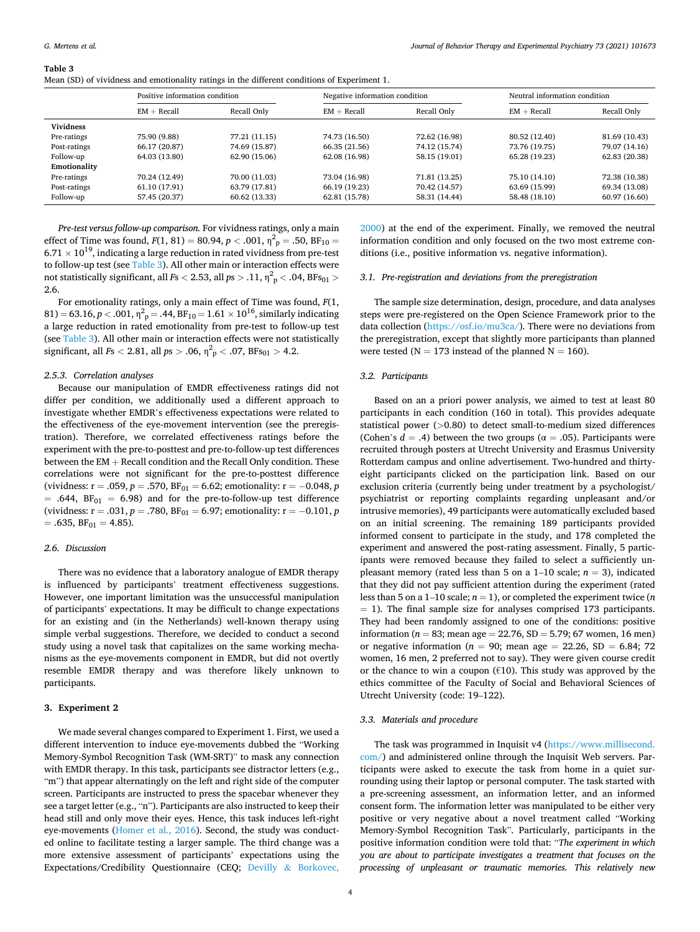#### <span id="page-3-0"></span>**Table 3**

Mean (SD) of vividness and emotionality ratings in the different conditions of Experiment 1.

|                  | Positive information condition |               | Negative information condition |               | Neutral information condition |               |
|------------------|--------------------------------|---------------|--------------------------------|---------------|-------------------------------|---------------|
|                  | $EM + Recall$                  | Recall Only   | $EM + Recall$                  | Recall Only   | $EM + Recall$                 | Recall Only   |
| <b>Vividness</b> |                                |               |                                |               |                               |               |
| Pre-ratings      | 75.90 (9.88)                   | 77.21 (11.15) | 74.73 (16.50)                  | 72.62 (16.98) | 80.52 (12.40)                 | 81.69 (10.43) |
| Post-ratings     | 66.17 (20.87)                  | 74.69 (15.87) | 66.35 (21.56)                  | 74.12 (15.74) | 73.76 (19.75)                 | 79.07 (14.16) |
| Follow-up        | 64.03 (13.80)                  | 62.90 (15.06) | 62.08 (16.98)                  | 58.15 (19.01) | 65.28 (19.23)                 | 62.83 (20.38) |
| Emotionality     |                                |               |                                |               |                               |               |
| Pre-ratings      | 70.24 (12.49)                  | 70.00 (11.03) | 73.04 (16.98)                  | 71.81 (13.25) | 75.10 (14.10)                 | 72.38 (10.38) |
| Post-ratings     | 61.10 (17.91)                  | 63.79 (17.81) | 66.19 (19.23)                  | 70.42 (14.57) | 63.69 (15.99)                 | 69.34 (13.08) |
| Follow-up        | 57.45 (20.37)                  | 60.62 (13.33) | 62.81 (15.78)                  | 58.31 (14.44) | 58.48 (18.10)                 | 60.97 (16.60) |

*Pre-test versus follow-up comparison.* For vividness ratings, only a main effect of Time was found,  $F(1, 81) = 80.94$ ,  $p < .001$ ,  $\eta_{\,\,p}^2 = .50$ , BF<sub>10</sub> =  $6.71 \times 10^{19}$ , indicating a large reduction in rated vividness from pre-test to follow-up test (see Table 3). All other main or interaction effects were not statistically significant, all *F*s  $<$  2.53, all *p*s  $>$  .11,  $\eta^{2}{}_{p}$   $<$  .04, BFs $_{01}$   $>$ 2.6.

For emotionality ratings, only a main effect of Time was found, *F*(1,  $(81) = 63.16, p < .001, \eta_{p}^{2} = .44, BF_{10} = 1.61 \times 10^{16},$  similarly indicating a large reduction in rated emotionality from pre-test to follow-up test (see Table 3). All other main or interaction effects were not statistically significant, all  $Fs < 2.81$ , all  $ps > .06$ ,  $\eta_{p}^{2} < .07$ , BFs<sub>01</sub>  $> 4.2$ .

#### *2.5.3. Correlation analyses*

Because our manipulation of EMDR effectiveness ratings did not differ per condition, we additionally used a different approach to investigate whether EMDR's effectiveness expectations were related to the effectiveness of the eye-movement intervention (see the preregistration). Therefore, we correlated effectiveness ratings before the experiment with the pre-to-posttest and pre-to-follow-up test differences between the EM + Recall condition and the Recall Only condition. These correlations were not significant for the pre-to-posttest difference (vividness:  $r = .059$ ,  $p = .570$ ,  $BF_{01} = 6.62$ ; emotionality:  $r = -0.048$ ,  $p$  $= .644, BF_{01} = 6.98$  and for the pre-to-follow-up test difference (vividness:  $r = .031$ ,  $p = .780$ ,  $BF_{01} = 6.97$ ; emotionality:  $r = -0.101$ ,  $p = .780$  $= .635, BF_{01} = 4.85$ .

## *2.6. Discussion*

There was no evidence that a laboratory analogue of EMDR therapy is influenced by participants' treatment effectiveness suggestions. However, one important limitation was the unsuccessful manipulation of participants' expectations. It may be difficult to change expectations for an existing and (in the Netherlands) well-known therapy using simple verbal suggestions. Therefore, we decided to conduct a second study using a novel task that capitalizes on the same working mechanisms as the eye-movements component in EMDR, but did not overtly resemble EMDR therapy and was therefore likely unknown to participants.

## **3. Experiment 2**

We made several changes compared to Experiment 1. First, we used a different intervention to induce eye-movements dubbed the "Working Memory-Symbol Recognition Task (WM-SRT)" to mask any connection with EMDR therapy. In this task, participants see distractor letters (e.g., "m") that appear alternatingly on the left and right side of the computer screen. Participants are instructed to press the spacebar whenever they see a target letter (e.g., "n"). Participants are also instructed to keep their head still and only move their eyes. Hence, this task induces left-right eye-movements [\(Homer et al., 2016\)](#page-6-0). Second, the study was conducted online to facilitate testing a larger sample. The third change was a more extensive assessment of participants' expectations using the Expectations/Credibility Questionnaire (CEQ; Devilly & [Borkovec,](#page-6-0) 

[2000\)](#page-6-0) at the end of the experiment. Finally, we removed the neutral information condition and only focused on the two most extreme conditions (i.e., positive information vs. negative information).

#### *3.1. Pre-registration and deviations from the preregistration*

The sample size determination, design, procedure, and data analyses steps were pre-registered on the Open Science Framework prior to the data collection ([https://osf.io/mu3ca/\)](https://osf.io/mu3ca/). There were no deviations from the preregistration, except that slightly more participants than planned were tested ( $N = 173$  instead of the planned  $N = 160$ ).

### *3.2. Participants*

Based on an a priori power analysis, we aimed to test at least 80 participants in each condition (160 in total). This provides adequate statistical power (*>*0.80) to detect small-to-medium sized differences (Cohen's  $d = .4$ ) between the two groups ( $\alpha = .05$ ). Participants were recruited through posters at Utrecht University and Erasmus University Rotterdam campus and online advertisement. Two-hundred and thirtyeight participants clicked on the participation link. Based on our exclusion criteria (currently being under treatment by a psychologist/ psychiatrist or reporting complaints regarding unpleasant and/or intrusive memories), 49 participants were automatically excluded based on an initial screening. The remaining 189 participants provided informed consent to participate in the study, and 178 completed the experiment and answered the post-rating assessment. Finally, 5 participants were removed because they failed to select a sufficiently unpleasant memory (rated less than 5 on a 1–10 scale;  $n = 3$ ), indicated that they did not pay sufficient attention during the experiment (rated less than 5 on a 1–10 scale;  $n = 1$ ), or completed the experiment twice (*n*  $=$  1). The final sample size for analyses comprised 173 participants. They had been randomly assigned to one of the conditions: positive information (*n* = 83; mean age = 22.76, SD = 5.79; 67 women, 16 men) or negative information ( $n = 90$ ; mean age = 22.26, SD = 6.84; 72) women, 16 men, 2 preferred not to say). They were given course credit or the chance to win a coupon ( $\epsilon$ 10). This study was approved by the ethics committee of the Faculty of Social and Behavioral Sciences of Utrecht University (code: 19–122).

## *3.3. Materials and procedure*

The task was programmed in Inquisit v4 [\(https://www.millisecond.](https://www.millisecond.com/)  [com/](https://www.millisecond.com/)) and administered online through the Inquisit Web servers. Participants were asked to execute the task from home in a quiet surrounding using their laptop or personal computer. The task started with a pre-screening assessment, an information letter, and an informed consent form. The information letter was manipulated to be either very positive or very negative about a novel treatment called "Working Memory-Symbol Recognition Task". Particularly, participants in the positive information condition were told that: "*The experiment in which you are about to participate investigates a treatment that focuses on the processing of unpleasant or traumatic memories. This relatively new*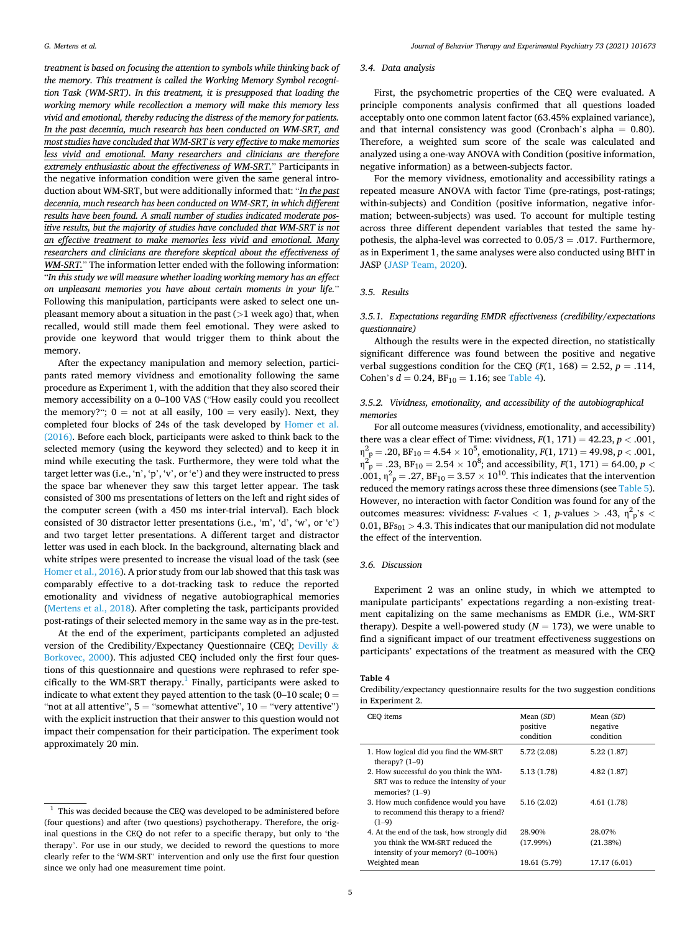*treatment is based on focusing the attention to symbols while thinking back of the memory. This treatment is called the Working Memory Symbol recognition Task (WM-SRT). In this treatment, it is presupposed that loading the working memory while recollection a memory will make this memory less vivid and emotional, thereby reducing the distress of the memory for patients. In the past decennia, much research has been conducted on WM-SRT, and most studies have concluded that WM-SRT is very effective to make memories less vivid and emotional. Many researchers and clinicians are therefore extremely enthusiastic about the effectiveness of WM-SRT.*" Participants in the negative information condition were given the same general introduction about WM-SRT, but were additionally informed that: "*In the past decennia, much research has been conducted on WM-SRT, in which different results have been found. A small number of studies indicated moderate positive results, but the majority of studies have concluded that WM-SRT is not an effective treatment to make memories less vivid and emotional. Many researchers and clinicians are therefore skeptical about the effectiveness of WM-SRT.*" The information letter ended with the following information: "*In this study we will measure whether loading working memory has an effect on unpleasant memories you have about certain moments in your life.*" Following this manipulation, participants were asked to select one unpleasant memory about a situation in the past (*>*1 week ago) that, when recalled, would still made them feel emotional. They were asked to provide one keyword that would trigger them to think about the memory.

After the expectancy manipulation and memory selection, participants rated memory vividness and emotionality following the same procedure as Experiment 1, with the addition that they also scored their memory accessibility on a 0–100 VAS ("How easily could you recollect the memory?";  $0 = not$  at all easily,  $100 = very$  easily). Next, they completed four blocks of 24s of the task developed by [Homer et al.](#page-6-0)  [\(2016\).](#page-6-0) Before each block, participants were asked to think back to the selected memory (using the keyword they selected) and to keep it in mind while executing the task. Furthermore, they were told what the target letter was (i.e., 'n', 'p', 'v', or 'e') and they were instructed to press the space bar whenever they saw this target letter appear. The task consisted of 300 ms presentations of letters on the left and right sides of the computer screen (with a 450 ms inter-trial interval). Each block consisted of 30 distractor letter presentations (i.e., 'm', 'd', 'w', or 'c') and two target letter presentations. A different target and distractor letter was used in each block. In the background, alternating black and white stripes were presented to increase the visual load of the task (see [Homer et al., 2016](#page-6-0)). A prior study from our lab showed that this task was comparably effective to a dot-tracking task to reduce the reported emotionality and vividness of negative autobiographical memories ([Mertens et al., 2018](#page-6-0)). After completing the task, participants provided post-ratings of their selected memory in the same way as in the pre-test.

At the end of the experiment, participants completed an adjusted version of the Credibility/Expectancy Questionnaire (CEQ; [Devilly](#page-6-0) & [Borkovec, 2000](#page-6-0)). This adjusted CEQ included only the first four questions of this questionnaire and questions were rephrased to refer specifically to the WM-SRT therapy.<sup>1</sup> Finally, participants were asked to indicate to what extent they payed attention to the task (0–10 scale;  $0 =$ "not at all attentive",  $5 =$  "somewhat attentive",  $10 =$  "very attentive") with the explicit instruction that their answer to this question would not impact their compensation for their participation. The experiment took approximately 20 min.

# *3.4. Data analysis*

First, the psychometric properties of the CEQ were evaluated. A principle components analysis confirmed that all questions loaded acceptably onto one common latent factor (63.45% explained variance), and that internal consistency was good (Cronbach's alpha  $= 0.80$ ). Therefore, a weighted sum score of the scale was calculated and analyzed using a one-way ANOVA with Condition (positive information, negative information) as a between-subjects factor.

For the memory vividness, emotionality and accessibility ratings a repeated measure ANOVA with factor Time (pre-ratings, post-ratings; within-subjects) and Condition (positive information, negative information; between-subjects) was used. To account for multiple testing across three different dependent variables that tested the same hypothesis, the alpha-level was corrected to  $0.05/3 = .017$ . Furthermore, as in Experiment 1, the same analyses were also conducted using BHT in JASP ([JASP Team, 2020](#page-6-0)).

## *3.5. Results*

# *3.5.1. Expectations regarding EMDR effectiveness (credibility/expectations questionnaire)*

Although the results were in the expected direction, no statistically significant difference was found between the positive and negative verbal suggestions condition for the CEQ ( $F(1, 168) = 2.52$ ,  $p = .114$ , Cohen's  $d = 0.24$ ,  $BF_{10} = 1.16$ ; see Table 4).

## *3.5.2. Vividness, emotionality, and accessibility of the autobiographical memories*

For all outcome measures (vividness, emotionality, and accessibility) there was a clear effect of Time: vividness,  $F(1, 171) = 42.23$ ,  $p < .001$ ,  $\eta^2_{\text{p}} = .20$ , BF<sub>10</sub> = 4.54  $\times$  10<sup>5</sup>, emotionality,  $F(1, 171) = 49.98$ ,  $p < .001$ ,  $\eta_{\:\:p}^2 = .23$ , BF<sub>10</sub> = 2.54  $\times$  10<sup>8</sup>; and accessibility, *F*(1, 171) = 64.00, *p* < .001,  $\eta^2$ <sub>p</sub> = .27, BF<sub>10</sub> = 3.57  $\times$  10<sup>10</sup>. This indicates that the intervention reduced the memory ratings across these three dimensions (see [Table 5](#page-5-0)). However, no interaction with factor Condition was found for any of the outcomes measures: vividness: *F*-values  $\langle 1, p$ -values  $> .43, \eta^2 p^s \rangle$ 0.01,  $BFs_{01} > 4.3$ . This indicates that our manipulation did not modulate the effect of the intervention.

# *3.6. Discussion*

Experiment 2 was an online study, in which we attempted to manipulate participants' expectations regarding a non-existing treatment capitalizing on the same mechanisms as EMDR (i.e., WM-SRT therapy). Despite a well-powered study  $(N = 173)$ , we were unable to find a significant impact of our treatment effectiveness suggestions on participants' expectations of the treatment as measured with the CEQ

**Table 4** 

Credibility/expectancy questionnaire results for the two suggestion conditions in Experiment 2.

| CEO items                                                                                                             | Mean (SD)<br>positive<br>condition | Mean (SD)<br>negative<br>condition |
|-----------------------------------------------------------------------------------------------------------------------|------------------------------------|------------------------------------|
| 1. How logical did you find the WM-SRT<br>therapy? $(1-9)$                                                            | 5.72 (2.08)                        | 5.22(1.87)                         |
| 2. How successful do you think the WM-<br>SRT was to reduce the intensity of your<br>memories? $(1-9)$                | 5.13 (1.78)                        | 4.82(1.87)                         |
| 3. How much confidence would you have<br>to recommend this therapy to a friend?<br>$(1-9)$                            | 5.16(2.02)                         | 4.61 (1.78)                        |
| 4. At the end of the task, how strongly did<br>you think the WM-SRT reduced the<br>intensity of your memory? (0-100%) | 28.90%<br>(17.99%)                 | 28.07%<br>(21.38%)                 |
| Weighted mean                                                                                                         | 18.61 (5.79)                       | 17.17 (6.01)                       |

 $1$  This was decided because the CEQ was developed to be administered before (four questions) and after (two questions) psychotherapy. Therefore, the original questions in the CEQ do not refer to a specific therapy, but only to 'the therapy'. For use in our study, we decided to reword the questions to more clearly refer to the 'WM-SRT' intervention and only use the first four question since we only had one measurement time point.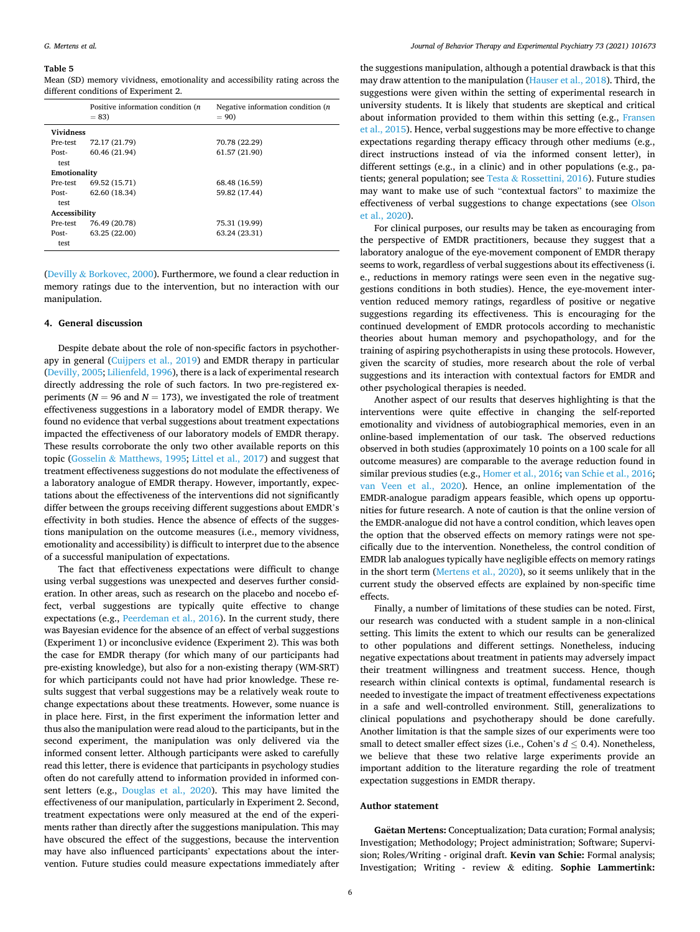#### <span id="page-5-0"></span>**Table 5**

Mean (SD) memory vividness, emotionality and accessibility rating across the different conditions of Experiment 2.

|                  | Positive information condition ( <i>n</i> )<br>$= 83$ | Negative information condition (n<br>$= 90$ |
|------------------|-------------------------------------------------------|---------------------------------------------|
| <b>Vividness</b> |                                                       |                                             |
| Pre-test         | 72.17 (21.79)                                         | 70.78 (22.29)                               |
| Post-            | 60.46 (21.94)                                         | 61.57 (21.90)                               |
| test             |                                                       |                                             |
| Emotionality     |                                                       |                                             |
| Pre-test         | 69.52 (15.71)                                         | 68.48 (16.59)                               |
| Post-            | 62.60 (18.34)                                         | 59.82 (17.44)                               |
| test             |                                                       |                                             |
| Accessibility    |                                                       |                                             |
| Pre-test         | 76.49 (20.78)                                         | 75.31 (19.99)                               |
| Post-            | 63.25 (22.00)                                         | 63.24 (23.31)                               |
| test             |                                                       |                                             |

(Devilly & [Borkovec, 2000\)](#page-6-0). Furthermore, we found a clear reduction in memory ratings due to the intervention, but no interaction with our manipulation.

## **4. General discussion**

Despite debate about the role of non-specific factors in psychotherapy in general ([Cuijpers et al., 2019\)](#page-6-0) and EMDR therapy in particular ([Devilly, 2005; Lilienfeld, 1996\)](#page-6-0), there is a lack of experimental research directly addressing the role of such factors. In two pre-registered experiments ( $N = 96$  and  $N = 173$ ), we investigated the role of treatment effectiveness suggestions in a laboratory model of EMDR therapy. We found no evidence that verbal suggestions about treatment expectations impacted the effectiveness of our laboratory models of EMDR therapy. These results corroborate the only two other available reports on this topic (Gosselin & [Matthews, 1995;](#page-6-0) [Littel et al., 2017\)](#page-6-0) and suggest that treatment effectiveness suggestions do not modulate the effectiveness of a laboratory analogue of EMDR therapy. However, importantly, expectations about the effectiveness of the interventions did not significantly differ between the groups receiving different suggestions about EMDR's effectivity in both studies. Hence the absence of effects of the suggestions manipulation on the outcome measures (i.e., memory vividness, emotionality and accessibility) is difficult to interpret due to the absence of a successful manipulation of expectations.

The fact that effectiveness expectations were difficult to change using verbal suggestions was unexpected and deserves further consideration. In other areas, such as research on the placebo and nocebo effect, verbal suggestions are typically quite effective to change expectations (e.g., [Peerdeman et al., 2016](#page-6-0)). In the current study, there was Bayesian evidence for the absence of an effect of verbal suggestions (Experiment 1) or inconclusive evidence (Experiment 2). This was both the case for EMDR therapy (for which many of our participants had pre-existing knowledge), but also for a non-existing therapy (WM-SRT) for which participants could not have had prior knowledge. These results suggest that verbal suggestions may be a relatively weak route to change expectations about these treatments. However, some nuance is in place here. First, in the first experiment the information letter and thus also the manipulation were read aloud to the participants, but in the second experiment, the manipulation was only delivered via the informed consent letter. Although participants were asked to carefully read this letter, there is evidence that participants in psychology studies often do not carefully attend to information provided in informed consent letters (e.g., [Douglas et al., 2020\)](#page-6-0). This may have limited the effectiveness of our manipulation, particularly in Experiment 2. Second, treatment expectations were only measured at the end of the experiments rather than directly after the suggestions manipulation. This may have obscured the effect of the suggestions, because the intervention may have also influenced participants' expectations about the intervention. Future studies could measure expectations immediately after

the suggestions manipulation, although a potential drawback is that this may draw attention to the manipulation ([Hauser et al., 2018](#page-6-0)). Third, the suggestions were given within the setting of experimental research in university students. It is likely that students are skeptical and critical about information provided to them within this setting (e.g., [Fransen](#page-6-0)  [et al., 2015\)](#page-6-0). Hence, verbal suggestions may be more effective to change expectations regarding therapy efficacy through other mediums (e.g., direct instructions instead of via the informed consent letter), in different settings (e.g., in a clinic) and in other populations (e.g., patients; general population; see Testa & [Rossettini, 2016\)](#page-6-0). Future studies may want to make use of such "contextual factors" to maximize the effectiveness of verbal suggestions to change expectations (see [Olson](#page-6-0)  [et al., 2020\)](#page-6-0).

For clinical purposes, our results may be taken as encouraging from the perspective of EMDR practitioners, because they suggest that a laboratory analogue of the eye-movement component of EMDR therapy seems to work, regardless of verbal suggestions about its effectiveness (i. e., reductions in memory ratings were seen even in the negative suggestions conditions in both studies). Hence, the eye-movement intervention reduced memory ratings, regardless of positive or negative suggestions regarding its effectiveness. This is encouraging for the continued development of EMDR protocols according to mechanistic theories about human memory and psychopathology, and for the training of aspiring psychotherapists in using these protocols. However, given the scarcity of studies, more research about the role of verbal suggestions and its interaction with contextual factors for EMDR and other psychological therapies is needed.

Another aspect of our results that deserves highlighting is that the interventions were quite effective in changing the self-reported emotionality and vividness of autobiographical memories, even in an online-based implementation of our task. The observed reductions observed in both studies (approximately 10 points on a 100 scale for all outcome measures) are comparable to the average reduction found in similar previous studies (e.g., [Homer et al., 2016](#page-6-0); [van Schie et al., 2016](#page-6-0); [van Veen et al., 2020\)](#page-6-0). Hence, an online implementation of the EMDR-analogue paradigm appears feasible, which opens up opportunities for future research. A note of caution is that the online version of the EMDR-analogue did not have a control condition, which leaves open the option that the observed effects on memory ratings were not specifically due to the intervention. Nonetheless, the control condition of EMDR lab analogues typically have negligible effects on memory ratings in the short term [\(Mertens et al., 2020](#page-6-0)), so it seems unlikely that in the current study the observed effects are explained by non-specific time effects.

Finally, a number of limitations of these studies can be noted. First, our research was conducted with a student sample in a non-clinical setting. This limits the extent to which our results can be generalized to other populations and different settings. Nonetheless, inducing negative expectations about treatment in patients may adversely impact their treatment willingness and treatment success. Hence, though research within clinical contexts is optimal, fundamental research is needed to investigate the impact of treatment effectiveness expectations in a safe and well-controlled environment. Still, generalizations to clinical populations and psychotherapy should be done carefully. Another limitation is that the sample sizes of our experiments were too small to detect smaller effect sizes (i.e., Cohen's  $d \leq 0.4$ ). Nonetheless, we believe that these two relative large experiments provide an important addition to the literature regarding the role of treatment expectation suggestions in EMDR therapy.

## **Author statement**

Gaetan Mertens: Conceptualization; Data curation; Formal analysis; Investigation; Methodology; Project administration; Software; Supervision; Roles/Writing - original draft. **Kevin van Schie:** Formal analysis; Investigation; Writing - review & editing. **Sophie Lammertink:**